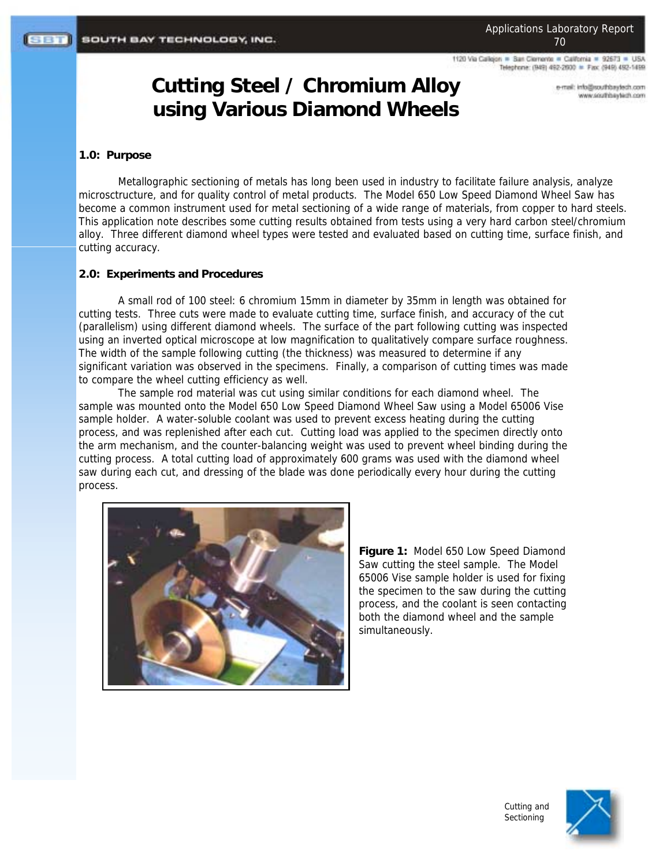1120 Via Calleion = San Clemente = California = 92673 = USA Telephone: (949) 492-2600 = Fax: (949) 492-1499

> e-mail: info@southbaytech.com www.southbaytech.com

# **Cutting Steel / Chromium Alloy using Various Diamond Wheels**

# **1.0: Purpose**

Metallographic sectioning of metals has long been used in industry to facilitate failure analysis, analyze microsctructure, and for quality control of metal products. The Model 650 Low Speed Diamond Wheel Saw has become a common instrument used for metal sectioning of a wide range of materials, from copper to hard steels. This application note describes some cutting results obtained from tests using a very hard carbon steel/chromium alloy. Three different diamond wheel types were tested and evaluated based on cutting time, surface finish, and cutting accuracy.

# **2.0: Experiments and Procedures**

A small rod of 100 steel: 6 chromium 15mm in diameter by 35mm in length was obtained for cutting tests. Three cuts were made to evaluate cutting time, surface finish, and accuracy of the cut (parallelism) using different diamond wheels. The surface of the part following cutting was inspected using an inverted optical microscope at low magnification to qualitatively compare surface roughness. The width of the sample following cutting (the thickness) was measured to determine if any significant variation was observed in the specimens. Finally, a comparison of cutting times was made to compare the wheel cutting efficiency as well.

The sample rod material was cut using similar conditions for each diamond wheel. The sample was mounted onto the Model 650 Low Speed Diamond Wheel Saw using a Model 65006 Vise sample holder. A water-soluble coolant was used to prevent excess heating during the cutting process, and was replenished after each cut. Cutting load was applied to the specimen directly onto the arm mechanism, and the counter-balancing weight was used to prevent wheel binding during the cutting process. A total cutting load of approximately 600 grams was used with the diamond wheel saw during each cut, and dressing of the blade was done periodically every hour during the cutting process.



**Figure 1:** Model 650 Low Speed Diamond Saw cutting the steel sample. The Model 65006 Vise sample holder is used for fixing the specimen to the saw during the cutting process, and the coolant is seen contacting both the diamond wheel and the sample simultaneously.

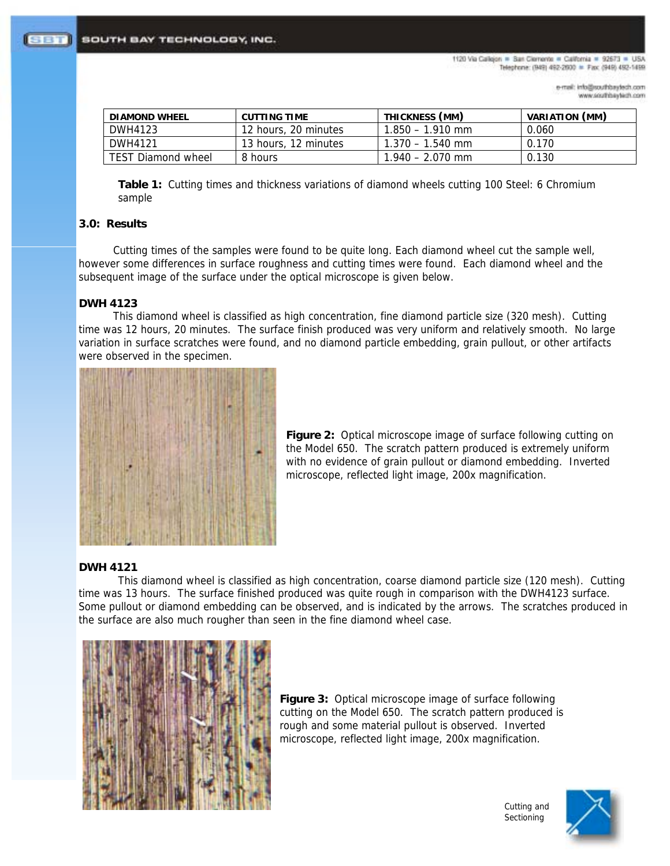1120 Via Calleion = San Clemente = California = 92673 = USA Telephone: (949) 492-2600 = Fax: (949) 492-1499

> e-mail: info@southbaytech.com www.southbaytech.com

| DIAMOND WHEEL             | CUTTING TIME         | THICKNESS (MM)     | VARIATION (MM) |
|---------------------------|----------------------|--------------------|----------------|
| DWH4123                   | 12 hours, 20 minutes | $1.850 - 1.910$ mm | 0.060          |
| DWH4121                   | 13 hours, 12 minutes | $1.370 - 1.540$ mm | 0.170          |
| <b>TEST Diamond wheel</b> | 8 hours              | $1.940 - 2.070$ mm | 0.130          |

**Table 1:** Cutting times and thickness variations of diamond wheels cutting 100 Steel: 6 Chromium sample

## **3.0: Results**

Cutting times of the samples were found to be quite long. Each diamond wheel cut the sample well, however some differences in surface roughness and cutting times were found. Each diamond wheel and the subsequent image of the surface under the optical microscope is given below.

# **DWH 4123**

This diamond wheel is classified as high concentration, fine diamond particle size (320 mesh). Cutting time was 12 hours, 20 minutes. The surface finish produced was very uniform and relatively smooth. No large variation in surface scratches were found, and no diamond particle embedding, grain pullout, or other artifacts were observed in the specimen.



**Figure 2:** Optical microscope image of surface following cutting on the Model 650. The scratch pattern produced is extremely uniform with no evidence of grain pullout or diamond embedding. Inverted microscope, reflected light image, 200x magnification.

### **DWH 4121**

This diamond wheel is classified as high concentration, coarse diamond particle size (120 mesh). Cutting time was 13 hours. The surface finished produced was quite rough in comparison with the DWH4123 surface. Some pullout or diamond embedding can be observed, and is indicated by the arrows. The scratches produced in the surface are also much rougher than seen in the fine diamond wheel case.



**Figure 3:** Optical microscope image of surface following cutting on the Model 650. The scratch pattern produced is rough and some material pullout is observed. Inverted microscope, reflected light image, 200x magnification.



Cutting and **Sectioning**